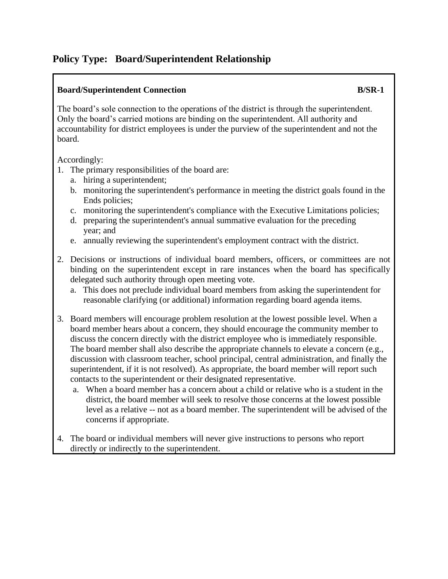## **Policy Type: Board/Superintendent Relationship**

## **Board/Superintendent Connection B/SR-1**

The board's sole connection to the operations of the district is through the superintendent. Only the board's carried motions are binding on the superintendent. All authority and accountability for district employees is under the purview of the superintendent and not the board.

Accordingly:

- 1. The primary responsibilities of the board are:
	- a. hiring a superintendent;
	- b. monitoring the superintendent's performance in meeting the district goals found in the Ends policies;
	- c. monitoring the superintendent's compliance with the Executive Limitations policies;
	- d. preparing the superintendent's annual summative evaluation for the preceding year; and
	- e. annually reviewing the superintendent's employment contract with the district.
- 2. Decisions or instructions of individual board members, officers, or committees are not binding on the superintendent except in rare instances when the board has specifically delegated such authority through open meeting vote.
	- a. This does not preclude individual board members from asking the superintendent for reasonable clarifying (or additional) information regarding board agenda items.
- 3. Board members will encourage problem resolution at the lowest possible level. When a board member hears about a concern, they should encourage the community member to discuss the concern directly with the district employee who is immediately responsible. The board member shall also describe the appropriate channels to elevate a concern (e.g., discussion with classroom teacher, school principal, central administration, and finally the superintendent, if it is not resolved). As appropriate, the board member will report such contacts to the superintendent or their designated representative.
	- a. When a board member has a concern about a child or relative who is a student in the district, the board member will seek to resolve those concerns at the lowest possible level as a relative -- not as a board member. The superintendent will be advised of the concerns if appropriate.
- 4. The board or individual members will never give instructions to persons who report directly or indirectly to the superintendent.